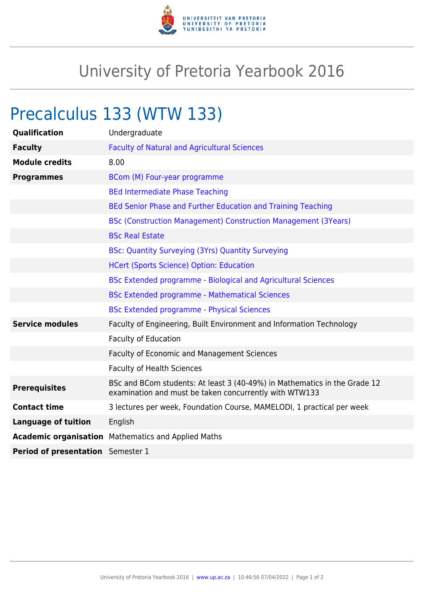

## University of Pretoria Yearbook 2016

## Precalculus 133 (WTW 133)

| Qualification                            | Undergraduate                                                                                                                       |
|------------------------------------------|-------------------------------------------------------------------------------------------------------------------------------------|
| <b>Faculty</b>                           | <b>Faculty of Natural and Agricultural Sciences</b>                                                                                 |
| <b>Module credits</b>                    | 8.00                                                                                                                                |
| <b>Programmes</b>                        | BCom (M) Four-year programme                                                                                                        |
|                                          | <b>BEd Intermediate Phase Teaching</b>                                                                                              |
|                                          | BEd Senior Phase and Further Education and Training Teaching                                                                        |
|                                          | <b>BSc (Construction Management) Construction Management (3Years)</b>                                                               |
|                                          | <b>BSc Real Estate</b>                                                                                                              |
|                                          | <b>BSc: Quantity Surveying (3Yrs) Quantity Surveying</b>                                                                            |
|                                          | <b>HCert (Sports Science) Option: Education</b>                                                                                     |
|                                          | BSc Extended programme - Biological and Agricultural Sciences                                                                       |
|                                          | <b>BSc Extended programme - Mathematical Sciences</b>                                                                               |
|                                          | <b>BSc Extended programme - Physical Sciences</b>                                                                                   |
| <b>Service modules</b>                   | Faculty of Engineering, Built Environment and Information Technology                                                                |
|                                          | <b>Faculty of Education</b>                                                                                                         |
|                                          | Faculty of Economic and Management Sciences                                                                                         |
|                                          | <b>Faculty of Health Sciences</b>                                                                                                   |
| <b>Prerequisites</b>                     | BSc and BCom students: At least 3 (40-49%) in Mathematics in the Grade 12<br>examination and must be taken concurrently with WTW133 |
| <b>Contact time</b>                      | 3 lectures per week, Foundation Course, MAMELODI, 1 practical per week                                                              |
| <b>Language of tuition</b>               | English                                                                                                                             |
|                                          | <b>Academic organisation</b> Mathematics and Applied Maths                                                                          |
| <b>Period of presentation</b> Semester 1 |                                                                                                                                     |